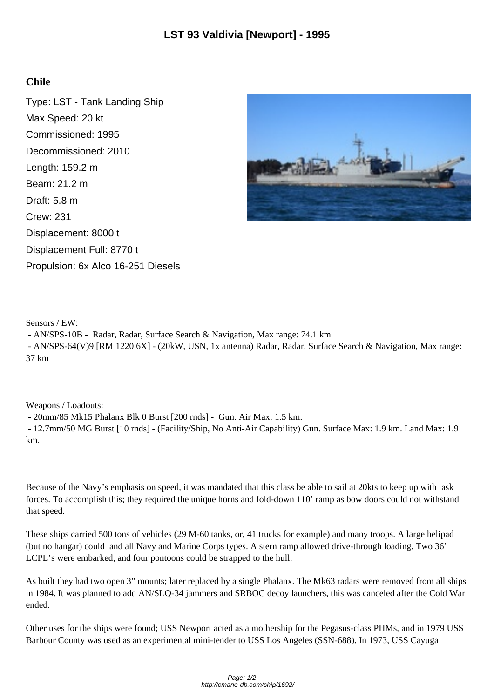## **Chile**

Type: LST - Tank Landing Ship Max Speed: 20 kt Commissioned: 1995 Decommissioned: 2010 Length: 159.2 m Beam: 21.2 m Draft: 5.8 m Crew: 231 Displacement: 8000 t Displacement Full: 8770 t Propulsion: 6x Alco 16-251 Diesels



Sensors / EW:

- AN/SPS-10B - Radar, Radar, Surface Search & Navigation, Max range: 74.1 km

 - AN/SPS-64(V)9 [RM 1220 6X] - (20kW, USN, 1x antenna) Radar, Radar, Surface Search & Navigation, Max range: 37 km

Weapons / Loadouts:

- 20mm/85 Mk15 Phalanx Blk 0 Burst [200 rnds] - Gun. Air Max: 1.5 km.

 - 12.7mm/50 MG Burst [10 rnds] - (Facility/Ship, No Anti-Air Capability) Gun. Surface Max: 1.9 km. Land Max: 1.9 km.

Because of the Navy's emphasis on speed, it was mandated that this class be able to sail at 20kts to keep up with task forces. To accomplish this; they required the unique horns and fold-down 110' ramp as bow doors could not withstand that speed.

These ships carried 500 tons of vehicles (29 M-60 tanks, or, 41 trucks for example) and many troops. A large helipad (but no hangar) could land all Navy and Marine Corps types. A stern ramp allowed drive-through loading. Two 36' LCPL's were embarked, and four pontoons could be strapped to the hull.

As built they had two open 3" mounts; later replaced by a single Phalanx. The Mk63 radars were removed from all ships in 1984. It was planned to add AN/SLQ-34 jammers and SRBOC decoy launchers, this was canceled after the Cold War ended.

Other uses for the ships were found; USS Newport acted as a mothership for the Pegasus-class PHMs, and in 1979 USS Barbour County was used as an experimental mini-tender to USS Los Angeles (SSN-688). In 1973, USS Cayuga